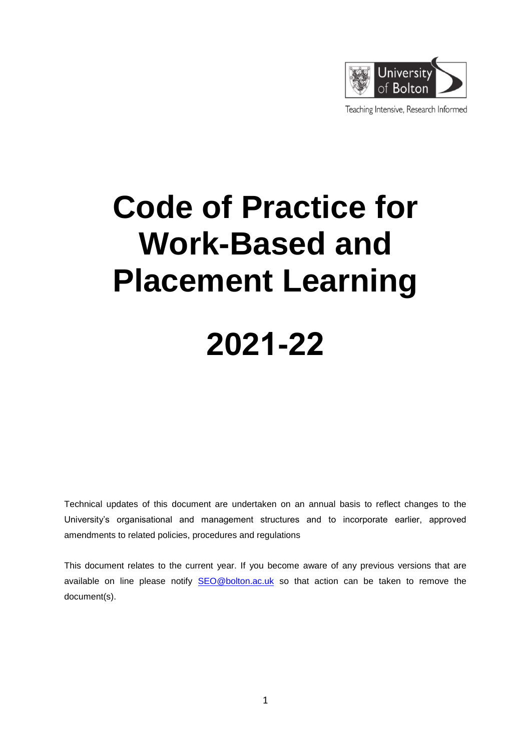

Teaching Intensive, Research Informed

# **Code of Practice for Work-Based and Placement Learning**

## **2021-22**

Technical updates of this document are undertaken on an annual basis to reflect changes to the University's organisational and management structures and to incorporate earlier, approved amendments to related policies, procedures and regulations

This document relates to the current year. If you become aware of any previous versions that are available on line please notify [SEO@bolton.ac.uk](mailto:SEO@bolton.ac.uk) so that action can be taken to remove the document(s).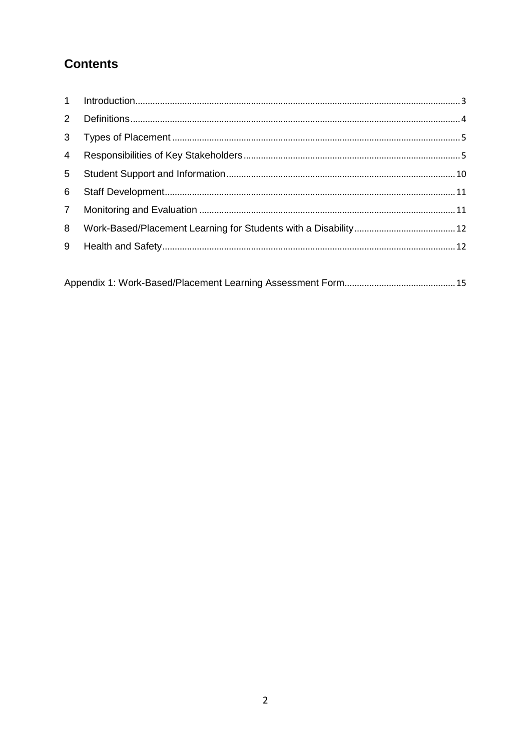### **Contents**

| $2^{\circ}$    |  |
|----------------|--|
| 3 <sup>1</sup> |  |
| $\overline{4}$ |  |
| 5 <sup>5</sup> |  |
| 6              |  |
| $7^{\circ}$    |  |
| 8              |  |
| 9              |  |
|                |  |

|--|--|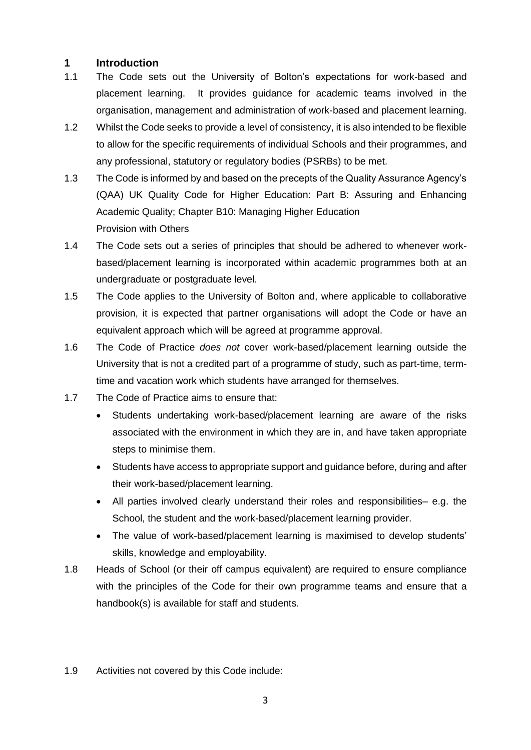#### <span id="page-2-0"></span>**1 Introduction**

- 1.1 The Code sets out the University of Bolton's expectations for work-based and placement learning. It provides guidance for academic teams involved in the organisation, management and administration of work-based and placement learning.
- 1.2 Whilst the Code seeks to provide a level of consistency, it is also intended to be flexible to allow for the specific requirements of individual Schools and their programmes, and any professional, statutory or regulatory bodies (PSRBs) to be met.
- 1.3 The Code is informed by and based on the precepts of the Quality Assurance Agency's (QAA) UK Quality Code for Higher Education: Part B: Assuring and Enhancing Academic Quality; Chapter B10: Managing Higher Education Provision with Others
- 1.4 The Code sets out a series of principles that should be adhered to whenever workbased/placement learning is incorporated within academic programmes both at an undergraduate or postgraduate level.
- 1.5 The Code applies to the University of Bolton and, where applicable to collaborative provision, it is expected that partner organisations will adopt the Code or have an equivalent approach which will be agreed at programme approval.
- 1.6 The Code of Practice *does not* cover work-based/placement learning outside the University that is not a credited part of a programme of study, such as part-time, termtime and vacation work which students have arranged for themselves.
- 1.7 The Code of Practice aims to ensure that:
	- Students undertaking work-based/placement learning are aware of the risks associated with the environment in which they are in, and have taken appropriate steps to minimise them.
	- Students have access to appropriate support and guidance before, during and after their work-based/placement learning.
	- All parties involved clearly understand their roles and responsibilities– e.g. the School, the student and the work-based/placement learning provider.
	- The value of work-based/placement learning is maximised to develop students' skills, knowledge and employability.
- 1.8 Heads of School (or their off campus equivalent) are required to ensure compliance with the principles of the Code for their own programme teams and ensure that a handbook(s) is available for staff and students.
- 1.9 Activities not covered by this Code include: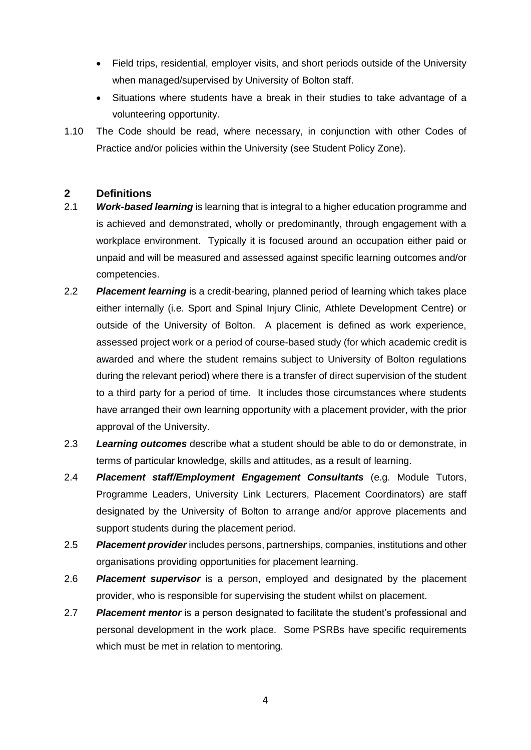- Field trips, residential, employer visits, and short periods outside of the University when managed/supervised by University of Bolton staff.
- Situations where students have a break in their studies to take advantage of a volunteering opportunity.
- 1.10 The Code should be read, where necessary, in conjunction with other Codes of Practice and/or policies within the University (see Student Policy Zone).

#### <span id="page-3-0"></span>**2 Definitions**

- 2.1 *Work-based learning* is learning that is integral to a higher education programme and is achieved and demonstrated, wholly or predominantly, through engagement with a workplace environment. Typically it is focused around an occupation either paid or unpaid and will be measured and assessed against specific learning outcomes and/or competencies.
- 2.2 *Placement learning* is a credit-bearing, planned period of learning which takes place either internally (i.e. Sport and Spinal Injury Clinic, Athlete Development Centre) or outside of the University of Bolton. A placement is defined as work experience, assessed project work or a period of course-based study (for which academic credit is awarded and where the student remains subject to University of Bolton regulations during the relevant period) where there is a transfer of direct supervision of the student to a third party for a period of time. It includes those circumstances where students have arranged their own learning opportunity with a placement provider, with the prior approval of the University.
- 2.3 *Learning outcomes* describe what a student should be able to do or demonstrate, in terms of particular knowledge, skills and attitudes, as a result of learning.
- 2.4 *Placement staff/Employment Engagement Consultants* (e.g. Module Tutors, Programme Leaders, University Link Lecturers, Placement Coordinators) are staff designated by the University of Bolton to arrange and/or approve placements and support students during the placement period.
- 2.5 *Placement provider* includes persons, partnerships, companies, institutions and other organisations providing opportunities for placement learning.
- 2.6 *Placement supervisor* is a person, employed and designated by the placement provider, who is responsible for supervising the student whilst on placement.
- 2.7 *Placement mentor* is a person designated to facilitate the student's professional and personal development in the work place. Some PSRBs have specific requirements which must be met in relation to mentoring.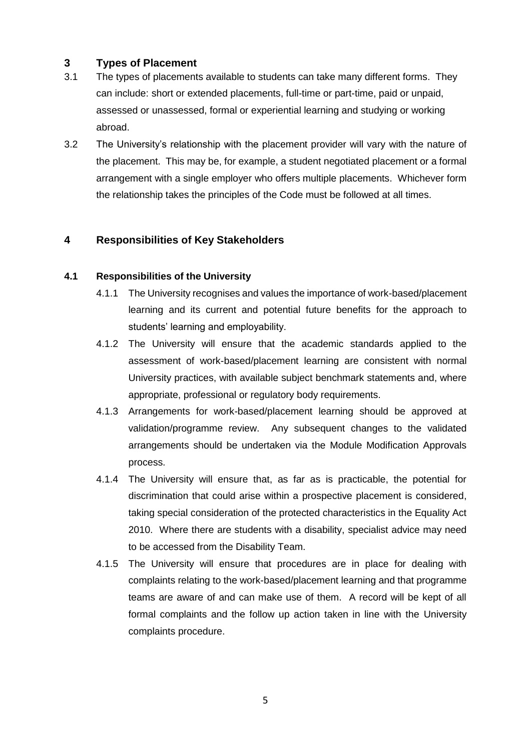#### <span id="page-4-0"></span>**3 Types of Placement**

- 3.1 The types of placements available to students can take many different forms. They can include: short or extended placements, full-time or part-time, paid or unpaid, assessed or unassessed, formal or experiential learning and studying or working abroad.
- 3.2 The University's relationship with the placement provider will vary with the nature of the placement. This may be, for example, a student negotiated placement or a formal arrangement with a single employer who offers multiple placements. Whichever form the relationship takes the principles of the Code must be followed at all times.

#### <span id="page-4-1"></span>**4 Responsibilities of Key Stakeholders**

#### **4.1 Responsibilities of the University**

- 4.1.1 The University recognises and values the importance of work-based/placement learning and its current and potential future benefits for the approach to students' learning and employability.
- 4.1.2 The University will ensure that the academic standards applied to the assessment of work-based/placement learning are consistent with normal University practices, with available subject benchmark statements and, where appropriate, professional or regulatory body requirements.
- 4.1.3 Arrangements for work-based/placement learning should be approved at validation/programme review. Any subsequent changes to the validated arrangements should be undertaken via the Module Modification Approvals process.
- 4.1.4 The University will ensure that, as far as is practicable, the potential for discrimination that could arise within a prospective placement is considered, taking special consideration of the protected characteristics in the Equality Act 2010. Where there are students with a disability, specialist advice may need to be accessed from the Disability Team.
- 4.1.5 The University will ensure that procedures are in place for dealing with complaints relating to the work-based/placement learning and that programme teams are aware of and can make use of them. A record will be kept of all formal complaints and the follow up action taken in line with the University complaints procedure.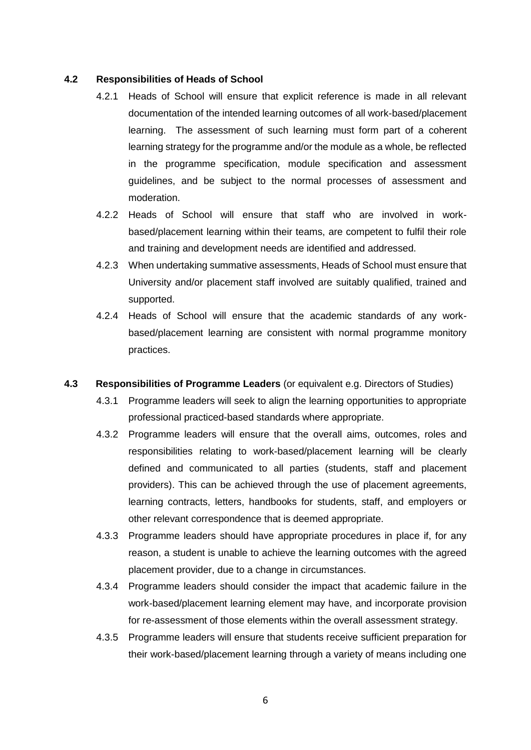#### **4.2 Responsibilities of Heads of School**

- 4.2.1 Heads of School will ensure that explicit reference is made in all relevant documentation of the intended learning outcomes of all work-based/placement learning. The assessment of such learning must form part of a coherent learning strategy for the programme and/or the module as a whole, be reflected in the programme specification, module specification and assessment guidelines, and be subject to the normal processes of assessment and moderation.
- 4.2.2 Heads of School will ensure that staff who are involved in workbased/placement learning within their teams, are competent to fulfil their role and training and development needs are identified and addressed.
- 4.2.3 When undertaking summative assessments, Heads of School must ensure that University and/or placement staff involved are suitably qualified, trained and supported.
- 4.2.4 Heads of School will ensure that the academic standards of any workbased/placement learning are consistent with normal programme monitory practices.
- **4.3 Responsibilities of Programme Leaders** (or equivalent e.g. Directors of Studies)
	- 4.3.1 Programme leaders will seek to align the learning opportunities to appropriate professional practiced-based standards where appropriate.
	- 4.3.2 Programme leaders will ensure that the overall aims, outcomes, roles and responsibilities relating to work-based/placement learning will be clearly defined and communicated to all parties (students, staff and placement providers). This can be achieved through the use of placement agreements, learning contracts, letters, handbooks for students, staff, and employers or other relevant correspondence that is deemed appropriate.
	- 4.3.3 Programme leaders should have appropriate procedures in place if, for any reason, a student is unable to achieve the learning outcomes with the agreed placement provider, due to a change in circumstances.
	- 4.3.4 Programme leaders should consider the impact that academic failure in the work-based/placement learning element may have, and incorporate provision for re-assessment of those elements within the overall assessment strategy.
	- 4.3.5 Programme leaders will ensure that students receive sufficient preparation for their work-based/placement learning through a variety of means including one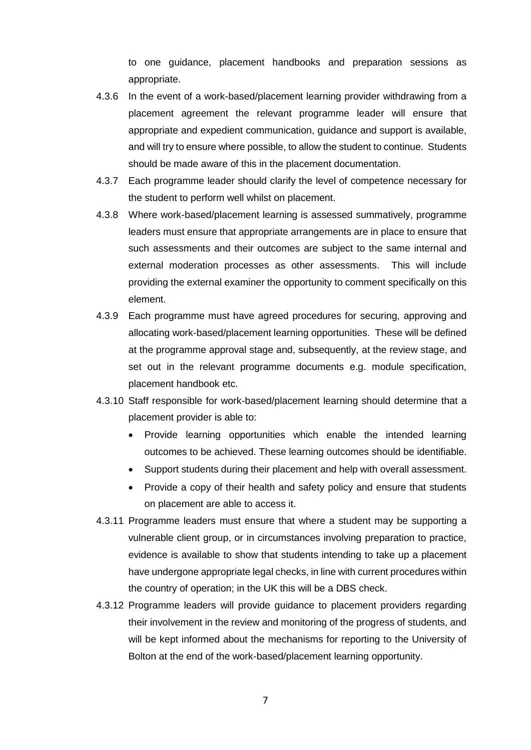to one guidance, placement handbooks and preparation sessions as appropriate.

- 4.3.6 In the event of a work-based/placement learning provider withdrawing from a placement agreement the relevant programme leader will ensure that appropriate and expedient communication, guidance and support is available, and will try to ensure where possible, to allow the student to continue. Students should be made aware of this in the placement documentation.
- 4.3.7 Each programme leader should clarify the level of competence necessary for the student to perform well whilst on placement.
- 4.3.8 Where work-based/placement learning is assessed summatively, programme leaders must ensure that appropriate arrangements are in place to ensure that such assessments and their outcomes are subject to the same internal and external moderation processes as other assessments. This will include providing the external examiner the opportunity to comment specifically on this element.
- 4.3.9 Each programme must have agreed procedures for securing, approving and allocating work-based/placement learning opportunities. These will be defined at the programme approval stage and, subsequently, at the review stage, and set out in the relevant programme documents e.g. module specification, placement handbook etc.
- 4.3.10 Staff responsible for work-based/placement learning should determine that a placement provider is able to:
	- Provide learning opportunities which enable the intended learning outcomes to be achieved. These learning outcomes should be identifiable.
	- Support students during their placement and help with overall assessment.
	- Provide a copy of their health and safety policy and ensure that students on placement are able to access it.
- 4.3.11 Programme leaders must ensure that where a student may be supporting a vulnerable client group, or in circumstances involving preparation to practice, evidence is available to show that students intending to take up a placement have undergone appropriate legal checks, in line with current procedures within the country of operation; in the UK this will be a DBS check.
- 4.3.12 Programme leaders will provide guidance to placement providers regarding their involvement in the review and monitoring of the progress of students, and will be kept informed about the mechanisms for reporting to the University of Bolton at the end of the work-based/placement learning opportunity.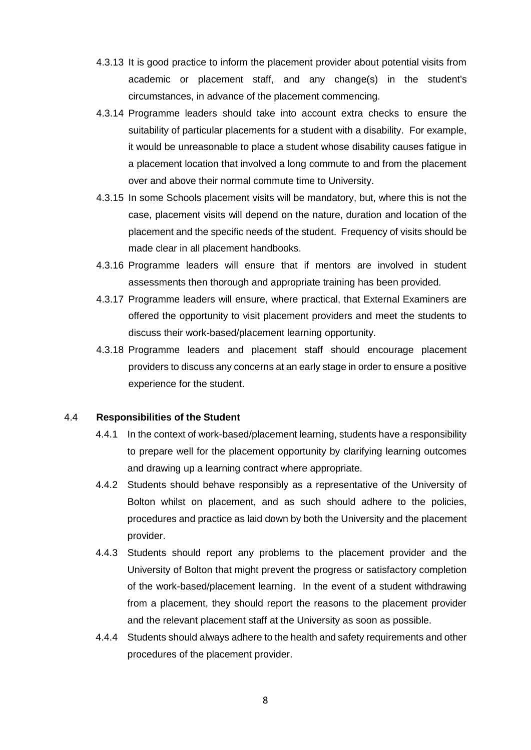- 4.3.13 It is good practice to inform the placement provider about potential visits from academic or placement staff, and any change(s) in the student's circumstances, in advance of the placement commencing.
- 4.3.14 Programme leaders should take into account extra checks to ensure the suitability of particular placements for a student with a disability. For example, it would be unreasonable to place a student whose disability causes fatigue in a placement location that involved a long commute to and from the placement over and above their normal commute time to University.
- 4.3.15 In some Schools placement visits will be mandatory, but, where this is not the case, placement visits will depend on the nature, duration and location of the placement and the specific needs of the student. Frequency of visits should be made clear in all placement handbooks.
- 4.3.16 Programme leaders will ensure that if mentors are involved in student assessments then thorough and appropriate training has been provided.
- 4.3.17 Programme leaders will ensure, where practical, that External Examiners are offered the opportunity to visit placement providers and meet the students to discuss their work-based/placement learning opportunity.
- 4.3.18 Programme leaders and placement staff should encourage placement providers to discuss any concerns at an early stage in order to ensure a positive experience for the student.

#### 4.4 **Responsibilities of the Student**

- 4.4.1 In the context of work-based/placement learning, students have a responsibility to prepare well for the placement opportunity by clarifying learning outcomes and drawing up a learning contract where appropriate.
- 4.4.2 Students should behave responsibly as a representative of the University of Bolton whilst on placement, and as such should adhere to the policies, procedures and practice as laid down by both the University and the placement provider.
- 4.4.3 Students should report any problems to the placement provider and the University of Bolton that might prevent the progress or satisfactory completion of the work-based/placement learning. In the event of a student withdrawing from a placement, they should report the reasons to the placement provider and the relevant placement staff at the University as soon as possible.
- 4.4.4 Students should always adhere to the health and safety requirements and other procedures of the placement provider.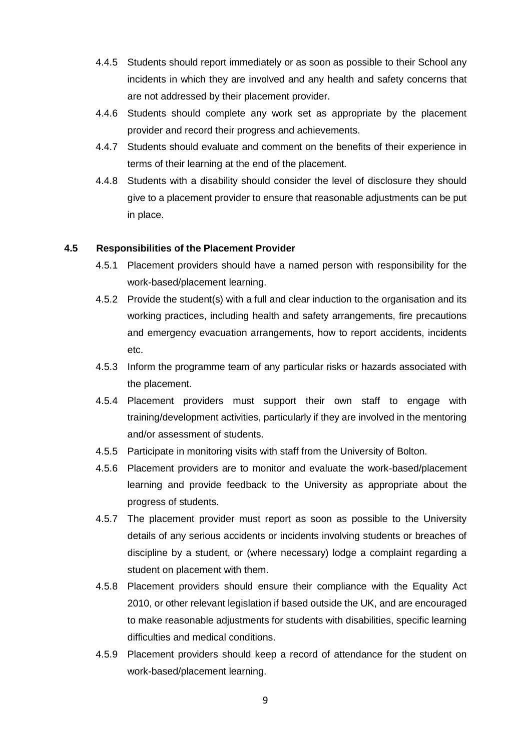- 4.4.5 Students should report immediately or as soon as possible to their School any incidents in which they are involved and any health and safety concerns that are not addressed by their placement provider.
- 4.4.6 Students should complete any work set as appropriate by the placement provider and record their progress and achievements.
- 4.4.7 Students should evaluate and comment on the benefits of their experience in terms of their learning at the end of the placement.
- 4.4.8 Students with a disability should consider the level of disclosure they should give to a placement provider to ensure that reasonable adjustments can be put in place.

#### **4.5 Responsibilities of the Placement Provider**

- 4.5.1 Placement providers should have a named person with responsibility for the work-based/placement learning.
- 4.5.2 Provide the student(s) with a full and clear induction to the organisation and its working practices, including health and safety arrangements, fire precautions and emergency evacuation arrangements, how to report accidents, incidents etc.
- 4.5.3 Inform the programme team of any particular risks or hazards associated with the placement.
- 4.5.4 Placement providers must support their own staff to engage with training/development activities, particularly if they are involved in the mentoring and/or assessment of students.
- 4.5.5 Participate in monitoring visits with staff from the University of Bolton.
- 4.5.6 Placement providers are to monitor and evaluate the work-based/placement learning and provide feedback to the University as appropriate about the progress of students.
- 4.5.7 The placement provider must report as soon as possible to the University details of any serious accidents or incidents involving students or breaches of discipline by a student, or (where necessary) lodge a complaint regarding a student on placement with them.
- 4.5.8 Placement providers should ensure their compliance with the Equality Act 2010, or other relevant legislation if based outside the UK, and are encouraged to make reasonable adjustments for students with disabilities, specific learning difficulties and medical conditions.
- 4.5.9 Placement providers should keep a record of attendance for the student on work-based/placement learning.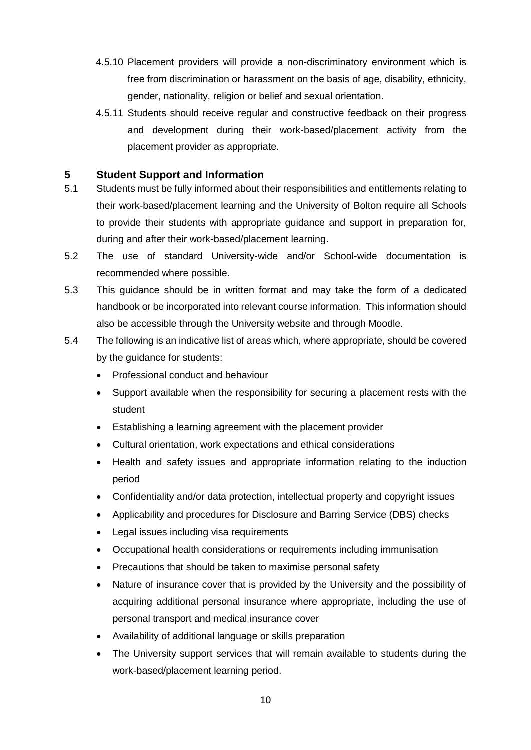- 4.5.10 Placement providers will provide a non-discriminatory environment which is free from discrimination or harassment on the basis of age, disability, ethnicity, gender, nationality, religion or belief and sexual orientation.
- 4.5.11 Students should receive regular and constructive feedback on their progress and development during their work-based/placement activity from the placement provider as appropriate.

#### <span id="page-9-0"></span>**5 Student Support and Information**

- 5.1 Students must be fully informed about their responsibilities and entitlements relating to their work-based/placement learning and the University of Bolton require all Schools to provide their students with appropriate guidance and support in preparation for, during and after their work-based/placement learning.
- 5.2 The use of standard University-wide and/or School-wide documentation is recommended where possible.
- 5.3 This guidance should be in written format and may take the form of a dedicated handbook or be incorporated into relevant course information. This information should also be accessible through the University website and through Moodle.
- 5.4 The following is an indicative list of areas which, where appropriate, should be covered by the guidance for students:
	- Professional conduct and behaviour
	- Support available when the responsibility for securing a placement rests with the student
	- Establishing a learning agreement with the placement provider
	- Cultural orientation, work expectations and ethical considerations
	- Health and safety issues and appropriate information relating to the induction period
	- Confidentiality and/or data protection, intellectual property and copyright issues
	- Applicability and procedures for Disclosure and Barring Service (DBS) checks
	- Legal issues including visa requirements
	- Occupational health considerations or requirements including immunisation
	- Precautions that should be taken to maximise personal safety
	- Nature of insurance cover that is provided by the University and the possibility of acquiring additional personal insurance where appropriate, including the use of personal transport and medical insurance cover
	- Availability of additional language or skills preparation
	- The University support services that will remain available to students during the work-based/placement learning period.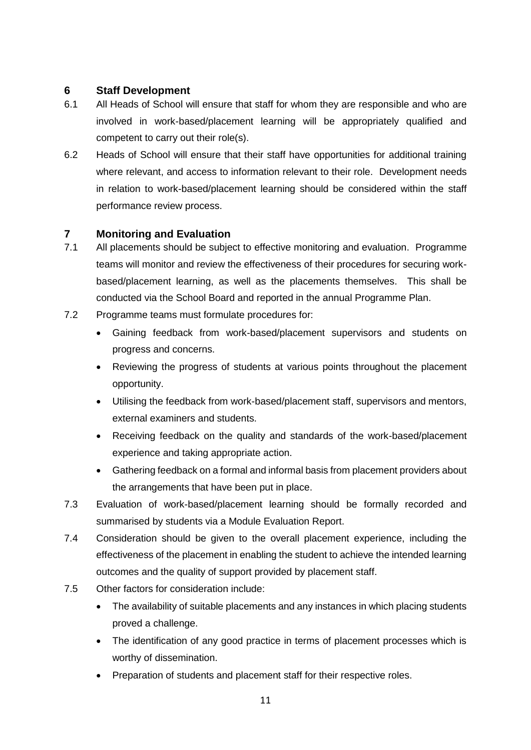#### <span id="page-10-0"></span>**6 Staff Development**

- 6.1 All Heads of School will ensure that staff for whom they are responsible and who are involved in work-based/placement learning will be appropriately qualified and competent to carry out their role(s).
- 6.2 Heads of School will ensure that their staff have opportunities for additional training where relevant, and access to information relevant to their role. Development needs in relation to work-based/placement learning should be considered within the staff performance review process.

#### <span id="page-10-1"></span>**7 Monitoring and Evaluation**

- 7.1 All placements should be subject to effective monitoring and evaluation. Programme teams will monitor and review the effectiveness of their procedures for securing workbased/placement learning, as well as the placements themselves. This shall be conducted via the School Board and reported in the annual Programme Plan.
- 7.2 Programme teams must formulate procedures for:
	- Gaining feedback from work-based/placement supervisors and students on progress and concerns.
	- Reviewing the progress of students at various points throughout the placement opportunity.
	- Utilising the feedback from work-based/placement staff, supervisors and mentors, external examiners and students.
	- Receiving feedback on the quality and standards of the work-based/placement experience and taking appropriate action.
	- Gathering feedback on a formal and informal basis from placement providers about the arrangements that have been put in place.
- 7.3 Evaluation of work-based/placement learning should be formally recorded and summarised by students via a Module Evaluation Report.
- 7.4 Consideration should be given to the overall placement experience, including the effectiveness of the placement in enabling the student to achieve the intended learning outcomes and the quality of support provided by placement staff.
- 7.5 Other factors for consideration include:
	- The availability of suitable placements and any instances in which placing students proved a challenge.
	- The identification of any good practice in terms of placement processes which is worthy of dissemination.
	- Preparation of students and placement staff for their respective roles.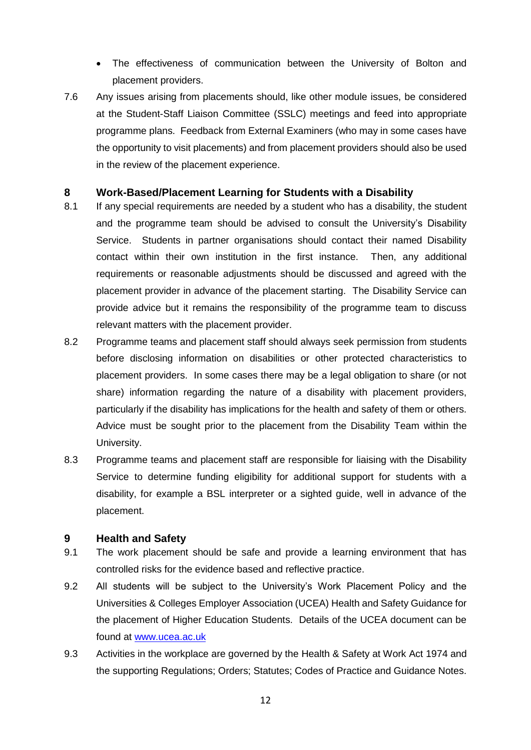- The effectiveness of communication between the University of Bolton and placement providers.
- 7.6 Any issues arising from placements should, like other module issues, be considered at the Student-Staff Liaison Committee (SSLC) meetings and feed into appropriate programme plans. Feedback from External Examiners (who may in some cases have the opportunity to visit placements) and from placement providers should also be used in the review of the placement experience.

#### <span id="page-11-0"></span>**8 Work-Based/Placement Learning for Students with a Disability**

- 8.1 If any special requirements are needed by a student who has a disability, the student and the programme team should be advised to consult the University's Disability Service. Students in partner organisations should contact their named Disability contact within their own institution in the first instance. Then, any additional requirements or reasonable adjustments should be discussed and agreed with the placement provider in advance of the placement starting. The Disability Service can provide advice but it remains the responsibility of the programme team to discuss relevant matters with the placement provider.
- 8.2 Programme teams and placement staff should always seek permission from students before disclosing information on disabilities or other protected characteristics to placement providers. In some cases there may be a legal obligation to share (or not share) information regarding the nature of a disability with placement providers, particularly if the disability has implications for the health and safety of them or others. Advice must be sought prior to the placement from the Disability Team within the University.
- 8.3 Programme teams and placement staff are responsible for liaising with the Disability Service to determine funding eligibility for additional support for students with a disability, for example a BSL interpreter or a sighted guide, well in advance of the placement.

#### <span id="page-11-1"></span>**9 Health and Safety**

- 9.1 The work placement should be safe and provide a learning environment that has controlled risks for the evidence based and reflective practice.
- 9.2 All students will be subject to the University's Work Placement Policy and the Universities & Colleges Employer Association (UCEA) Health and Safety Guidance for the placement of Higher Education Students. Details of the UCEA document can be found at [www.ucea.ac.uk](http://www.ucea.ac.uk/)
- 9.3 Activities in the workplace are governed by the Health & Safety at Work Act 1974 and the supporting Regulations; Orders; Statutes; Codes of Practice and Guidance Notes.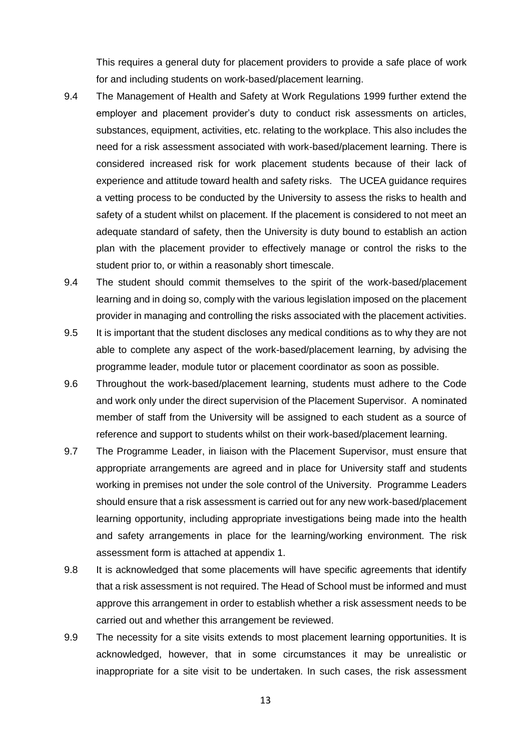This requires a general duty for placement providers to provide a safe place of work for and including students on work-based/placement learning.

- 9.4 The Management of Health and Safety at Work Regulations 1999 further extend the employer and placement provider's duty to conduct risk assessments on articles, substances, equipment, activities, etc. relating to the workplace. This also includes the need for a risk assessment associated with work-based/placement learning. There is considered increased risk for work placement students because of their lack of experience and attitude toward health and safety risks. The UCEA guidance requires a vetting process to be conducted by the University to assess the risks to health and safety of a student whilst on placement. If the placement is considered to not meet an adequate standard of safety, then the University is duty bound to establish an action plan with the placement provider to effectively manage or control the risks to the student prior to, or within a reasonably short timescale.
- 9.4 The student should commit themselves to the spirit of the work-based/placement learning and in doing so, comply with the various legislation imposed on the placement provider in managing and controlling the risks associated with the placement activities.
- 9.5 It is important that the student discloses any medical conditions as to why they are not able to complete any aspect of the work-based/placement learning, by advising the programme leader, module tutor or placement coordinator as soon as possible.
- 9.6 Throughout the work-based/placement learning, students must adhere to the Code and work only under the direct supervision of the Placement Supervisor. A nominated member of staff from the University will be assigned to each student as a source of reference and support to students whilst on their work-based/placement learning.
- 9.7 The Programme Leader, in liaison with the Placement Supervisor, must ensure that appropriate arrangements are agreed and in place for University staff and students working in premises not under the sole control of the University. Programme Leaders should ensure that a risk assessment is carried out for any new work-based/placement learning opportunity, including appropriate investigations being made into the health and safety arrangements in place for the learning/working environment. The risk assessment form is attached at appendix 1.
- 9.8 It is acknowledged that some placements will have specific agreements that identify that a risk assessment is not required. The Head of School must be informed and must approve this arrangement in order to establish whether a risk assessment needs to be carried out and whether this arrangement be reviewed.
- 9.9 The necessity for a site visits extends to most placement learning opportunities. It is acknowledged, however, that in some circumstances it may be unrealistic or inappropriate for a site visit to be undertaken. In such cases, the risk assessment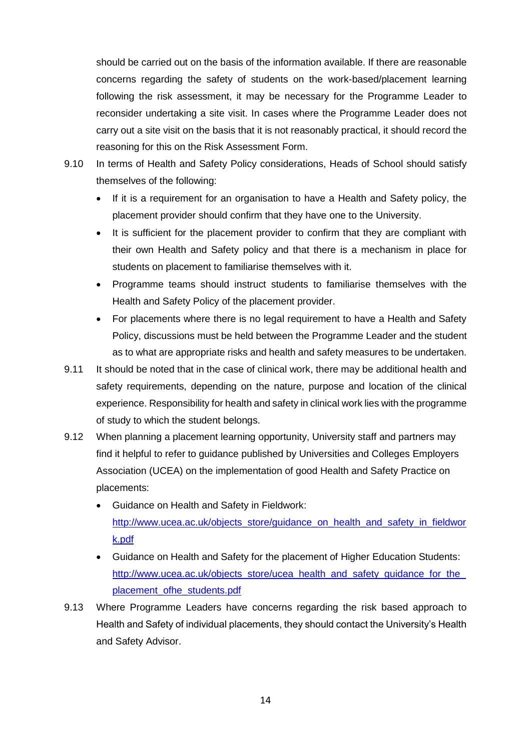should be carried out on the basis of the information available. If there are reasonable concerns regarding the safety of students on the work-based/placement learning following the risk assessment, it may be necessary for the Programme Leader to reconsider undertaking a site visit. In cases where the Programme Leader does not carry out a site visit on the basis that it is not reasonably practical, it should record the reasoning for this on the Risk Assessment Form.

- 9.10 In terms of Health and Safety Policy considerations, Heads of School should satisfy themselves of the following:
	- If it is a requirement for an organisation to have a Health and Safety policy, the placement provider should confirm that they have one to the University.
	- It is sufficient for the placement provider to confirm that they are compliant with their own Health and Safety policy and that there is a mechanism in place for students on placement to familiarise themselves with it.
	- Programme teams should instruct students to familiarise themselves with the Health and Safety Policy of the placement provider.
	- For placements where there is no legal requirement to have a Health and Safety Policy, discussions must be held between the Programme Leader and the student as to what are appropriate risks and health and safety measures to be undertaken.
- 9.11 It should be noted that in the case of clinical work, there may be additional health and safety requirements, depending on the nature, purpose and location of the clinical experience. Responsibility for health and safety in clinical work lies with the programme of study to which the student belongs.
- 9.12 When planning a placement learning opportunity, University staff and partners may find it helpful to refer to guidance published by Universities and Colleges Employers Association (UCEA) on the implementation of good Health and Safety Practice on placements:
	- Guidance on Health and Safety in Fieldwork: [http://www.ucea.ac.uk/objects\\_store/guidance\\_on\\_health\\_and\\_safety\\_in\\_fieldwor](http://www.ucea.ac.uk/objects_store/guidance_on_health_and_safety_in_fieldwork.pdf) [k.pdf](http://www.ucea.ac.uk/objects_store/guidance_on_health_and_safety_in_fieldwork.pdf)
	- Guidance on Health and Safety for the placement of Higher Education Students: http://www.ucea.ac.uk/objects\_store/ucea\_health\_and\_safety\_guidance\_for\_the [placement\\_ofhe\\_students.pdf](http://www.ucea.ac.uk/objects_store/ucea_health_and_safety_guidance_for_the_placement_ofhe_students.pdf)
- 9.13 Where Programme Leaders have concerns regarding the risk based approach to Health and Safety of individual placements, they should contact the University's Health and Safety Advisor.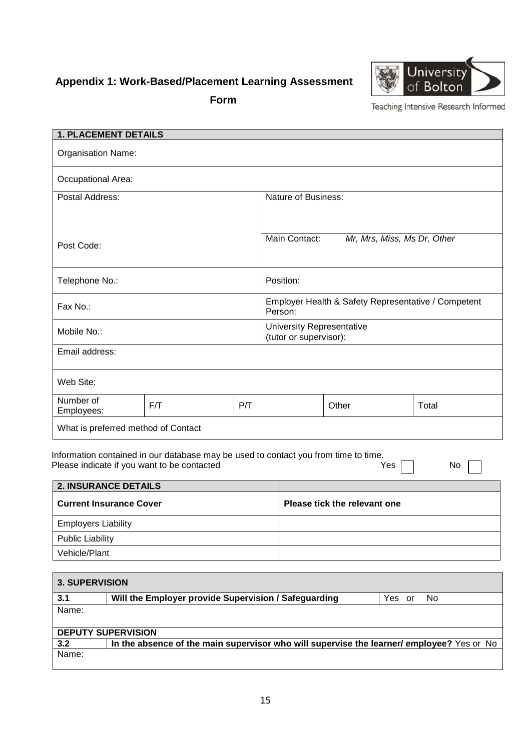## <span id="page-14-0"></span>**Appendix 1: Work-Based/Placement Learning Assessment**





Teaching Intensive Research Informed

| <b>1. PLACEMENT DETAILS</b>                                                                                                                                                  |  |                                                            |                     |                                                     |  |
|------------------------------------------------------------------------------------------------------------------------------------------------------------------------------|--|------------------------------------------------------------|---------------------|-----------------------------------------------------|--|
| <b>Organisation Name:</b>                                                                                                                                                    |  |                                                            |                     |                                                     |  |
| Occupational Area:                                                                                                                                                           |  |                                                            |                     |                                                     |  |
| Postal Address:                                                                                                                                                              |  |                                                            | Nature of Business: |                                                     |  |
|                                                                                                                                                                              |  |                                                            |                     |                                                     |  |
| Post Code:                                                                                                                                                                   |  |                                                            | Main Contact:       | Mr, Mrs, Miss, Ms Dr, Other                         |  |
| Telephone No.:                                                                                                                                                               |  |                                                            | Position:           |                                                     |  |
| Fax No.:                                                                                                                                                                     |  |                                                            | Person:             | Employer Health & Safety Representative / Competent |  |
| Mobile No.:                                                                                                                                                                  |  | <b>University Representative</b><br>(tutor or supervisor): |                     |                                                     |  |
| Email address:                                                                                                                                                               |  |                                                            |                     |                                                     |  |
| Web Site:                                                                                                                                                                    |  |                                                            |                     |                                                     |  |
| Number of<br>F/T<br>P/T<br>Employees:                                                                                                                                        |  |                                                            | Other               | Total                                               |  |
| What is preferred method of Contact                                                                                                                                          |  |                                                            |                     |                                                     |  |
| Information contained in our database may be used to contact you from time to time.<br>Please indicate if you want to be contacted<br>Yes<br>No.<br>$\overline{\phantom{a}}$ |  |                                                            |                     |                                                     |  |

| <b>2. INSURANCE DETAILS</b>    |                              |
|--------------------------------|------------------------------|
| <b>Current Insurance Cover</b> | Please tick the relevant one |
| <b>Employers Liability</b>     |                              |
| <b>Public Liability</b>        |                              |
| Vehicle/Plant                  |                              |

| <b>3. SUPERVISION</b>     |                                                                                          |     |  |  |
|---------------------------|------------------------------------------------------------------------------------------|-----|--|--|
| 3.1                       | Will the Employer provide Supervision / Safeguarding<br>Yes.<br>or                       | No. |  |  |
| Name:                     |                                                                                          |     |  |  |
|                           |                                                                                          |     |  |  |
| <b>DEPUTY SUPERVISION</b> |                                                                                          |     |  |  |
| 3.2                       | In the absence of the main supervisor who will supervise the learner/employee? Yes or No |     |  |  |
| Name:                     |                                                                                          |     |  |  |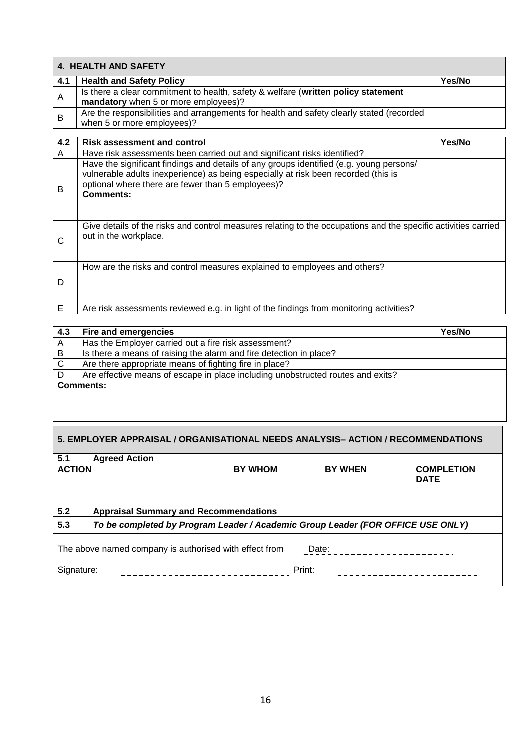| <b>4. HEALTH AND SAFETY</b> |                                                                                                                                                                                                                                                        |        |  |  |
|-----------------------------|--------------------------------------------------------------------------------------------------------------------------------------------------------------------------------------------------------------------------------------------------------|--------|--|--|
| 4.1                         | <b>Health and Safety Policy</b>                                                                                                                                                                                                                        | Yes/No |  |  |
| A                           | Is there a clear commitment to health, safety & welfare (written policy statement<br>mandatory when 5 or more employees)?                                                                                                                              |        |  |  |
| B                           | Are the responsibilities and arrangements for health and safety clearly stated (recorded<br>when 5 or more employees)?                                                                                                                                 |        |  |  |
| 4.2                         | <b>Risk assessment and control</b>                                                                                                                                                                                                                     | Yes/No |  |  |
| A                           | Have risk assessments been carried out and significant risks identified?                                                                                                                                                                               |        |  |  |
| B                           | Have the significant findings and details of any groups identified (e.g. young persons/<br>vulnerable adults inexperience) as being especially at risk been recorded (this is<br>optional where there are fewer than 5 employees)?<br><b>Comments:</b> |        |  |  |
| $\mathsf{C}$                | Give details of the risks and control measures relating to the occupations and the specific activities carried<br>out in the workplace.                                                                                                                |        |  |  |
| D                           | How are the risks and control measures explained to employees and others?                                                                                                                                                                              |        |  |  |
| E                           | Are risk assessments reviewed e.g. in light of the findings from monitoring activities?                                                                                                                                                                |        |  |  |

| Fire and emergencies                                                            | Yes/No |
|---------------------------------------------------------------------------------|--------|
| Has the Employer carried out a fire risk assessment?                            |        |
| Is there a means of raising the alarm and fire detection in place?              |        |
| Are there appropriate means of fighting fire in place?                          |        |
| Are effective means of escape in place including unobstructed routes and exits? |        |
| <b>Comments:</b>                                                                |        |
|                                                                                 |        |
|                                                                                 |        |
|                                                                                 |        |

| 5. EMPLOYER APPRAISAL / ORGANISATIONAL NEEDS ANALYSIS- ACTION / RECOMMENDATIONS        |                |                |                                  |  |
|----------------------------------------------------------------------------------------|----------------|----------------|----------------------------------|--|
| 5.1<br><b>Agreed Action</b>                                                            |                |                |                                  |  |
| <b>ACTION</b>                                                                          | <b>BY WHOM</b> | <b>BY WHEN</b> | <b>COMPLETION</b><br><b>DATE</b> |  |
|                                                                                        |                |                |                                  |  |
| 5.2<br><b>Appraisal Summary and Recommendations</b>                                    |                |                |                                  |  |
| 5.3<br>To be completed by Program Leader / Academic Group Leader (FOR OFFICE USE ONLY) |                |                |                                  |  |
|                                                                                        |                |                |                                  |  |

Г

|            | The above named company is authorised with effect from | Date:  |  |
|------------|--------------------------------------------------------|--------|--|
| Signature: |                                                        | Print: |  |